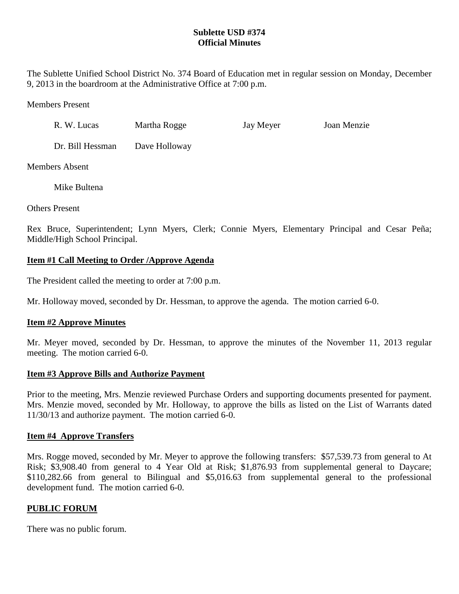## **Sublette USD #374 Official Minutes**

The Sublette Unified School District No. 374 Board of Education met in regular session on Monday, December 9, 2013 in the boardroom at the Administrative Office at 7:00 p.m.

Members Present

| R. W. Lucas      | Martha Rogge  | Jay Meyer | Joan Menzie |
|------------------|---------------|-----------|-------------|
| Dr. Bill Hessman | Dave Holloway |           |             |

Members Absent

Mike Bultena

Others Present

Rex Bruce, Superintendent; Lynn Myers, Clerk; Connie Myers, Elementary Principal and Cesar Peña; Middle/High School Principal.

# **Item #1 Call Meeting to Order /Approve Agenda**

The President called the meeting to order at 7:00 p.m.

Mr. Holloway moved, seconded by Dr. Hessman, to approve the agenda. The motion carried 6-0.

# **Item #2 Approve Minutes**

Mr. Meyer moved, seconded by Dr. Hessman, to approve the minutes of the November 11, 2013 regular meeting. The motion carried 6-0.

## **Item #3 Approve Bills and Authorize Payment**

Prior to the meeting, Mrs. Menzie reviewed Purchase Orders and supporting documents presented for payment. Mrs. Menzie moved, seconded by Mr. Holloway, to approve the bills as listed on the List of Warrants dated 11/30/13 and authorize payment. The motion carried 6-0.

## **Item #4 Approve Transfers**

Mrs. Rogge moved, seconded by Mr. Meyer to approve the following transfers: \$57,539.73 from general to At Risk; \$3,908.40 from general to 4 Year Old at Risk; \$1,876.93 from supplemental general to Daycare; \$110,282.66 from general to Bilingual and \$5,016.63 from supplemental general to the professional development fund. The motion carried 6-0.

## **PUBLIC FORUM**

There was no public forum.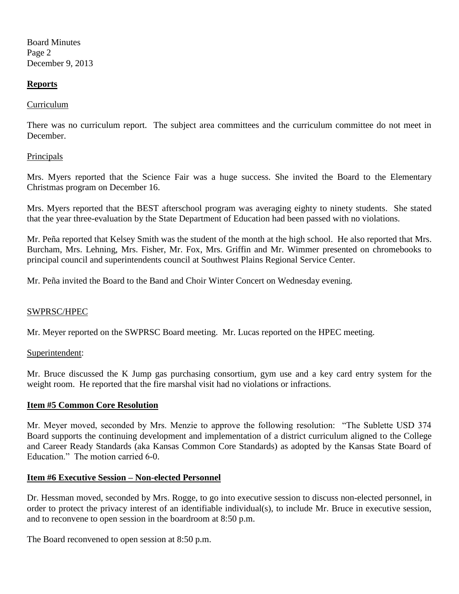Board Minutes Page 2 December 9, 2013

### **Reports**

### Curriculum

There was no curriculum report. The subject area committees and the curriculum committee do not meet in December.

### Principals

Mrs. Myers reported that the Science Fair was a huge success. She invited the Board to the Elementary Christmas program on December 16.

Mrs. Myers reported that the BEST afterschool program was averaging eighty to ninety students. She stated that the year three-evaluation by the State Department of Education had been passed with no violations.

Mr. Peña reported that Kelsey Smith was the student of the month at the high school. He also reported that Mrs. Burcham, Mrs. Lehning, Mrs. Fisher, Mr. Fox, Mrs. Griffin and Mr. Wimmer presented on chromebooks to principal council and superintendents council at Southwest Plains Regional Service Center.

Mr. Peña invited the Board to the Band and Choir Winter Concert on Wednesday evening.

## SWPRSC/HPEC

Mr. Meyer reported on the SWPRSC Board meeting. Mr. Lucas reported on the HPEC meeting.

#### Superintendent:

Mr. Bruce discussed the K Jump gas purchasing consortium, gym use and a key card entry system for the weight room. He reported that the fire marshal visit had no violations or infractions.

## **Item #5 Common Core Resolution**

Mr. Meyer moved, seconded by Mrs. Menzie to approve the following resolution: "The Sublette USD 374 Board supports the continuing development and implementation of a district curriculum aligned to the College and Career Ready Standards (aka Kansas Common Core Standards) as adopted by the Kansas State Board of Education." The motion carried 6-0.

#### **Item #6 Executive Session – Non-elected Personnel**

Dr. Hessman moved, seconded by Mrs. Rogge, to go into executive session to discuss non-elected personnel, in order to protect the privacy interest of an identifiable individual(s), to include Mr. Bruce in executive session, and to reconvene to open session in the boardroom at 8:50 p.m.

The Board reconvened to open session at 8:50 p.m.